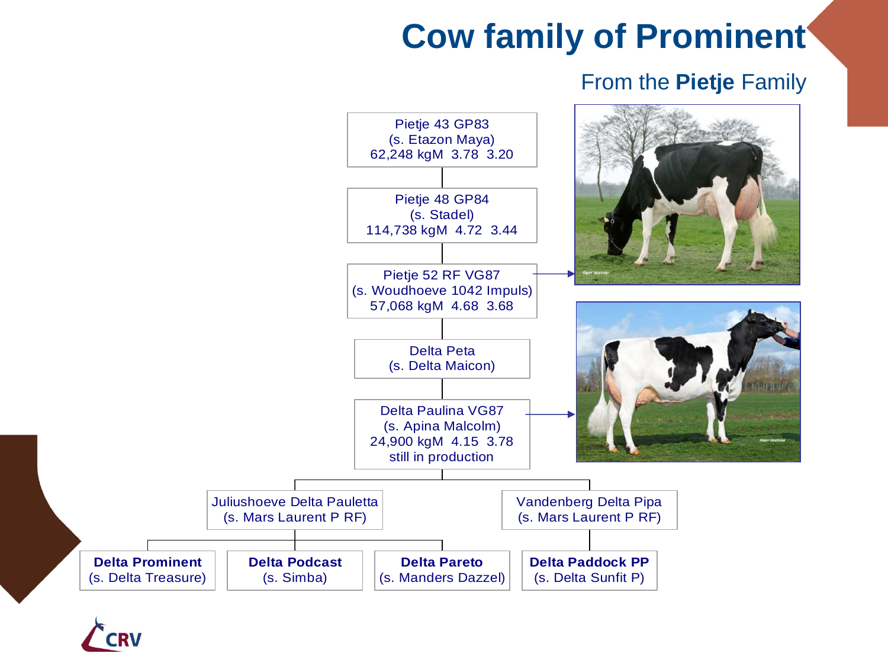## **Cow family of Prominent**

## From the **Pietje** Family